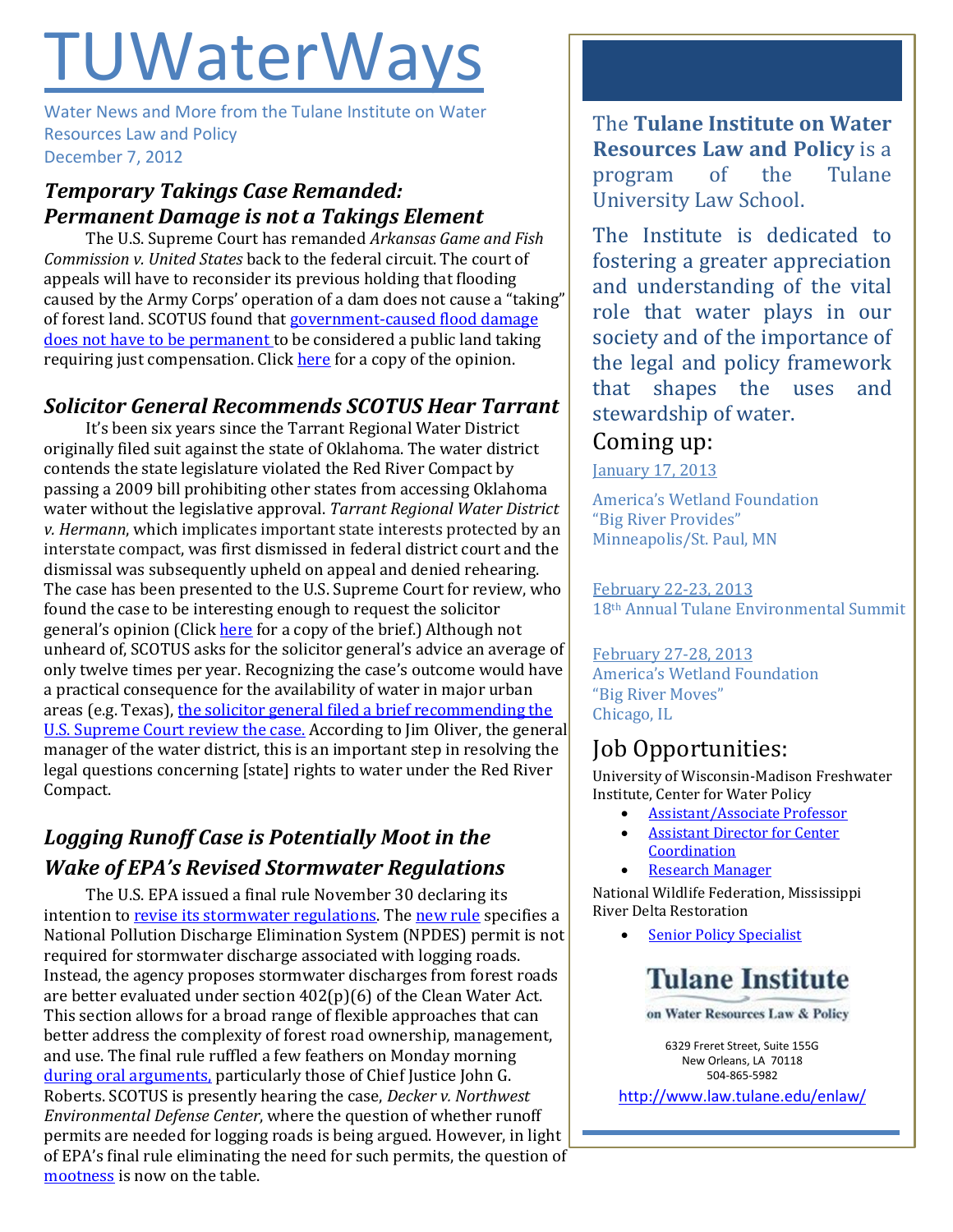# **TUWaterWays**

Water News and More from the Tulane Institute on Water Resources Law and Policy December 7, 2012

## *Temporary Takings Case Remanded: Permanent Damage is not a Takings Element*

The U.S. Supreme Court has remanded *Arkansas Game and Fish Commission v. United States* back to the federal circuit. The court of appeals will have to reconsider its previous holding that flooding caused by the Army Corps' operation of a dam does not cause a "taking" of forest land. SCOTUS found tha[t government-caused flood damage](http://www.eswr.com/2012/12/supreme-court-sends-temporary-taking-case-back-to-fed-circuit/)  [does not have to be permanent](http://www.eswr.com/2012/12/supreme-court-sends-temporary-taking-case-back-to-fed-circuit/) to be considered a public land taking requiring just compensation. Click [here](http://www.supremecourt.gov/opinions/12pdf/11-597_i426.pdf) for a copy of the opinion.

## *Solicitor General Recommends SCOTUS Hear Tarrant*

It's been six years since the Tarrant Regional Water District originally filed suit against the state of Oklahoma. The water district contends the state legislature violated the Red River Compact by passing a 2009 bill prohibiting other states from accessing Oklahoma water without the legislative approval. *Tarrant Regional Water District v. Hermann*, which implicates important state interests protected by an interstate compact, was first dismissed in federal district court and the dismissal was subsequently upheld on appeal and denied rehearing. The case has been presented to the U.S. Supreme Court for review, who found the case to be interesting enough to request the solicitor general's opinion (Click [here](http://www.justice.gov/osg/briefs/2012/2pet/6invit/2011-0889.pet.ami.inv.pdf) for a copy of the brief.) Although not unheard of, SCOTUS asks for the solicitor general's advice an average of only twelve times per year. Recognizing the case's outcome would have a practical consequence for the availability of water in major urban areas (e.g. Texas), [the solicitor general filed a brief recommending the](http://www.star-telegram.com/2012/11/30/4451557/us-solicitor-general-recommends.html)  [U.S. Supreme Court review the case.](http://www.star-telegram.com/2012/11/30/4451557/us-solicitor-general-recommends.html) According to Jim Oliver, the general manager of the water district, this is an important step in resolving the legal questions concerning [state] rights to water under the Red River Compact.

# *Logging Runoff Case is Potentially Moot in the Wake of EPA's Revised Stormwater Regulations*

The U.S. EPA issued a final rule November 30 declaring its intention to [revise its stormwater regulations.](http://water.epa.gov/polwaste/nps/forestry.cfm) The [new rule](http://www.epa.gov/npdes/pubs/sw_forestroad_prepub11302012.pdf) specifies a National Pollution Discharge Elimination System (NPDES) permit is not required for stormwater discharge associated with logging roads. Instead, the agency proposes stormwater discharges from forest roads are better evaluated under section 402(p)(6) of the Clean Water Act. This section allows for a broad range of flexible approaches that can better address the complexity of forest road ownership, management, and use. The final rule ruffled a few feathers on Monday morning [during oral arguments,](http://www.nytimes.com/2012/12/04/us/epa-rule-complicates-supreme-court-case-on-logging-runoff.html?_r=0) particularly those of Chief Justice John G. Roberts. SCOTUS is presently hearing the case, *Decker v. Northwest Environmental Defense Center*, where the question of whether runoff permits are needed for logging roads is being argued. However, in light of EPA's final rule eliminating the need for such permits, the question of [mootness](http://earthfix.opb.org/water/article/epa-rule-on-logging-road-runoff-throws-curveball-a/) is now on the table.

The **Tulane Institute on Water Resources Law and Policy** is a program of the Tulane University Law School.

The Institute is dedicated to fostering a greater appreciation and understanding of the vital role that water plays in our society and of the importance of the legal and policy framework that shapes the uses and stewardship of water.

## Coming up:

January 17, 2013

America's Wetland Foundation "Big River Provides" Minneapolis/St. Paul, MN

February 22-23, 2013 18th Annual Tulane Environmental Summit

February 27-28, 2013 America's Wetland Foundation "Big River Moves" Chicago, IL

# Job Opportunities:

University of Wisconsin-Madison Freshwater Institute, Center for Water Policy

- [Assistant/Associate Professor](https://jobs.uwm.edu/postings/11273)
- [Assistant Director for Center](https://jobs.uwm.edu/postings/11331)  **[Coordination](https://jobs.uwm.edu/postings/11331)**
- [Research Manager](https://jobs.uwm.edu/postings/11360)

National Wildlife Federation, Mississippi River Delta Restoration

[Senior Policy Specialist](http://www.mississippiriverdelta.org/blog/2012/11/28/job-opening-senior-policy-specialist-mississippi-river-delta-restoration-campaign-national-wildlife-federation/)

# **Tulane Institute**

on Water Resources Law & Policy

6329 Freret Street, Suite 155G New Orleans, LA 70118 504-865-5982

<http://www.law.tulane.edu/enlaw/>